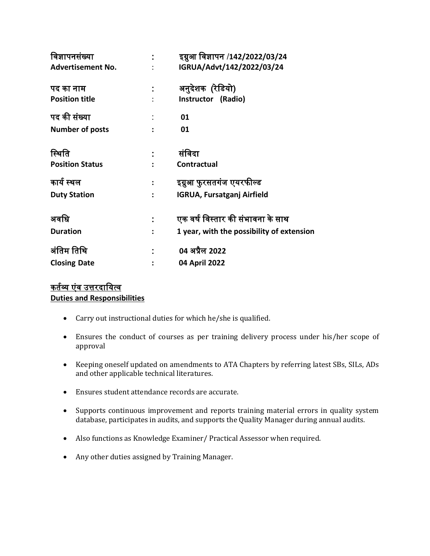| विज्ञापनसंख्या           |                | इग्नुआ विज्ञापन /142/2022/03/24           |
|--------------------------|----------------|-------------------------------------------|
| <b>Advertisement No.</b> |                | IGRUA/Advt/142/2022/03/24                 |
| पद का नाम                |                | अनुदेशक (रेडियो)                          |
| <b>Position title</b>    |                | Instructor (Radio)                        |
| पद की संख्या             |                | 01                                        |
| Number of posts          |                | 01                                        |
| स्थिति                   |                | संविदा                                    |
| <b>Position Status</b>   |                | <b>Contractual</b>                        |
| कार्य स्थल               | $\ddot{\cdot}$ | इग्नुआ फुरसतगंज एयरफील्ड                  |
| <b>Duty Station</b>      | $\ddot{\cdot}$ | <b>IGRUA, Fursatganj Airfield</b>         |
| अवधि                     |                | एक वर्ष विस्तार की संभावना के साथ         |
| <b>Duration</b>          |                | 1 year, with the possibility of extension |
| अंतिम तिथि               |                | 04 अप्रैल 2022                            |
|                          |                |                                           |
| <b>Closing Date</b>      |                | 04 April 2022                             |

### कर्तव्य एंव उत्तरदायित्व **Duties and Responsibilities**

- Carry out instructional duties for which he/she is qualified.
- Ensures the conduct of courses as per training delivery process under his/her scope of approval
- Keeping oneself updated on amendments to ATA Chapters by referring latest SBs, SILs, ADs and other applicable technical literatures.
- Ensures student attendance records are accurate.
- Supports continuous improvement and reports training material errors in quality system database, participates in audits, and supports the Quality Manager during annual audits.
- Also functions as Knowledge Examiner/ Practical Assessor when required.
- Any other duties assigned by Training Manager.